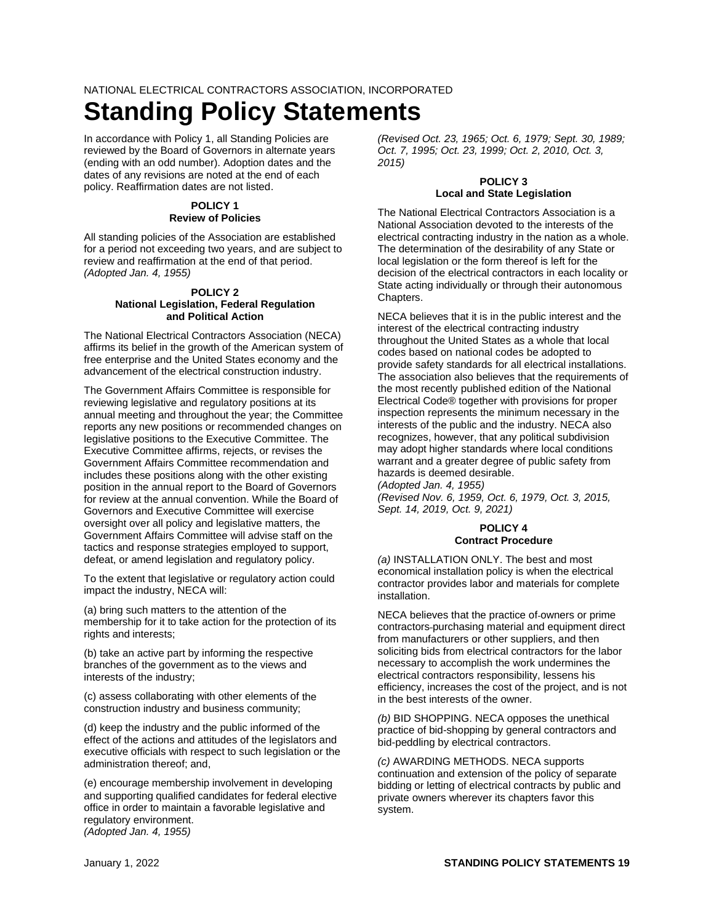NATIONAL ELECTRICAL CONTRACTORS ASSOCIATION, INCORPORATED

# **Standing Policy Statements**

In accordance with Policy 1, all Standing Policies are reviewed by the Board of Governors in alternate years (ending with an odd number). Adoption dates and the dates of any revisions are noted at the end of each policy. Reaffirmation dates are not listed.

# **POLICY 1 Review of Policies**

All standing policies of the Association are established for a period not exceeding two years, and are subject to review and reaffirmation at the end of that period. *(Adopted Jan. 4, 1955)*

# **POLICY 2 National Legislation, Federal Regulation and Political Action**

The National Electrical Contractors Association (NECA) affirms its belief in the growth of the American system of free enterprise and the United States economy and the advancement of the electrical construction industry.

The Government Affairs Committee is responsible for reviewing legislative and regulatory positions at its annual meeting and throughout the year; the Committee reports any new positions or recommended changes on legislative positions to the Executive Committee. The Executive Committee affirms, rejects, or revises the Government Affairs Committee recommendation and includes these positions along with the other existing position in the annual report to the Board of Governors for review at the annual convention. While the Board of Governors and Executive Committee will exercise oversight over all policy and legislative matters, the Government Affairs Committee will advise staff on the tactics and response strategies employed to support, defeat, or amend legislation and regulatory policy.

To the extent that legislative or regulatory action could impact the industry, NECA will:

(a) bring such matters to the attention of the membership for it to take action for the protection of its rights and interests;

(b) take an active part by informing the respective branches of the government as to the views and interests of the industry;

(c) assess collaborating with other elements of the construction industry and business community;

(d) keep the industry and the public informed of the effect of the actions and attitudes of the legislators and executive officials with respect to such legislation or the administration thereof; and,

(e) encourage membership involvement in developing and supporting qualified candidates for federal elective office in order to maintain a favorable legislative and regulatory environment. *(Adopted Jan. 4, 1955)*

*(Revised Oct. 23, 1965; Oct. 6, 1979; Sept. 30, 1989; Oct. 7, 1995; Oct. 23, 1999; Oct. 2, 2010, Oct. 3, 2015)*

# **POLICY 3 Local and State Legislation**

The National Electrical Contractors Association is a National Association devoted to the interests of the electrical contracting industry in the nation as a whole. The determination of the desirability of any State or local legislation or the form thereof is left for the decision of the electrical contractors in each locality or State acting individually or through their autonomous Chapters.

NECA believes that it is in the public interest and the interest of the electrical contracting industry throughout the United States as a whole that local codes based on national codes be adopted to provide safety standards for all electrical installations. The association also believes that the requirements of the most recently published edition of the National Electrical Code® together with provisions for proper inspection represents the minimum necessary in the interests of the public and the industry. NECA also recognizes, however, that any political subdivision may adopt higher standards where local conditions warrant and a greater degree of public safety from hazards is deemed desirable.

*(Adopted Jan. 4, 1955) (Revised Nov. 6, 1959, Oct. 6, 1979, Oct. 3, 2015, Sept. 14, 2019, Oct. 9, 2021)*

# **POLICY 4 Contract Procedure**

*(a)* INSTALLATION ONLY. The best and most economical installation policy is when the electrical contractor provides labor and materials for complete installation.

NECA believes that the practice of owners or prime contractors purchasing material and equipment direct from manufacturers or other suppliers, and then soliciting bids from electrical contractors for the labor necessary to accomplish the work undermines the electrical contractors responsibility, lessens his efficiency, increases the cost of the project, and is not in the best interests of the owner.

*(b)* BID SHOPPING. NECA opposes the unethical practice of bid-shopping by general contractors and bid-peddling by electrical contractors.

*(c)* AWARDING METHODS. NECA supports continuation and extension of the policy of separate bidding or letting of electrical contracts by public and private owners wherever its chapters favor this system.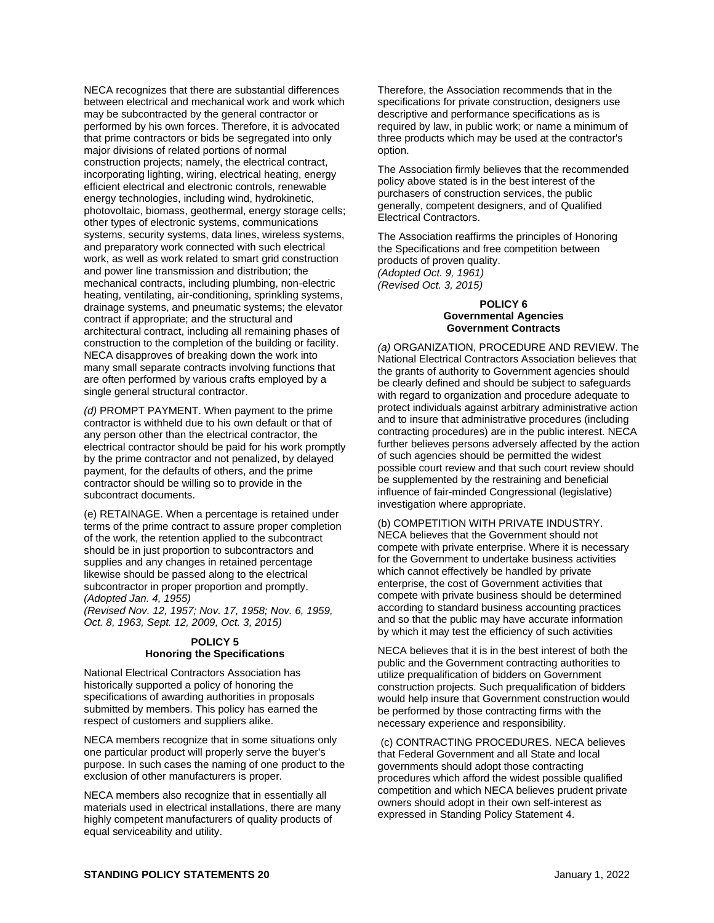NECA recognizes that there are substantial differences between electrical and mechanical work and work which may be subcontracted by the general contractor or performed by his own forces. Therefore, it is advocated that prime contractors or bids be segregated into only major divisions of related portions of normal construction projects; namely, the electrical contract, incorporating lighting, wiring, electrical heating, energy efficient electrical and electronic controls, renewable energy technologies, including wind, hydrokinetic, photovoltaic, biomass, geothermal, energy storage cells; other types of electronic systems, communications systems, security systems, data lines, wireless systems, and preparatory work connected with such electrical work, as well as work related to smart grid construction and power line transmission and distribution; the mechanical contracts, including plumbing, non-electric heating, ventilating, air-conditioning, sprinkling systems, drainage systems, and pneumatic systems; the elevator contract if appropriate; and the structural and architectural contract, including all remaining phases of construction to the completion of the building or facility. NECA disapproves of breaking down the work into many small separate contracts involving functions that are often performed by various crafts employed by a single general structural contractor.

*(d)* PROMPT PAYMENT. When payment to the prime contractor is withheld due to his own default or that of any person other than the electrical contractor, the electrical contractor should be paid for his work promptly by the prime contractor and not penalized, by delayed payment, for the defaults of others, and the prime contractor should be willing so to provide in the subcontract documents.

(e) RETAINAGE. When a percentage is retained under terms of the prime contract to assure proper completion of the work, the retention applied to the subcontract should be in just proportion to subcontractors and supplies and any changes in retained percentage likewise should be passed along to the electrical subcontractor in proper proportion and promptly. *(Adopted Jan. 4, 1955)*

*(Revised Nov. 12, 1957; Nov. 17, 1958; Nov. 6, 1959, Oct. 8, 1963, Sept. 12, 2009, Oct. 3, 2015)*

## **POLICY 5 Honoring the Specifications**

National Electrical Contractors Association has historically supported a policy of honoring the specifications of awarding authorities in proposals submitted by members. This policy has earned the respect of customers and suppliers alike.

NECA members recognize that in some situations only one particular product will properly serve the buyer's purpose. In such cases the naming of one product to the exclusion of other manufacturers is proper.

NECA members also recognize that in essentially all materials used in electrical installations, there are many highly competent manufacturers of quality products of equal serviceability and utility.

Therefore, the Association recommends that in the specifications for private construction, designers use descriptive and performance specifications as is required by law, in public work; or name a minimum of three products which may be used at the contractor's option.

The Association firmly believes that the recommended policy above stated is in the best interest of the purchasers of construction services, the public generally, competent designers, and of Qualified Electrical Contractors.

The Association reaffirms the principles of Honoring the Specifications and free competition between products of proven quality. *(Adopted Oct. 9, 1961) (Revised Oct. 3, 2015)*

#### **POLICY 6 Governmental Agencies Government Contracts**

*(a)* ORGANIZATION, PROCEDURE AND REVIEW. The National Electrical Contractors Association believes that the grants of authority to Government agencies should be clearly defined and should be subject to safeguards with regard to organization and procedure adequate to protect individuals against arbitrary administrative action and to insure that administrative procedures (including contracting procedures) are in the public interest. NECA further believes persons adversely affected by the action of such agencies should be permitted the widest possible court review and that such court review should be supplemented by the restraining and beneficial influence of fair-minded Congressional (legislative) investigation where appropriate.

(b) COMPETITION WITH PRIVATE INDUSTRY. NECA believes that the Government should not compete with private enterprise. Where it is necessary for the Government to undertake business activities which cannot effectively be handled by private enterprise, the cost of Government activities that compete with private business should be determined according to standard business accounting practices and so that the public may have accurate information by which it may test the efficiency of such activities

NECA believes that it is in the best interest of both the public and the Government contracting authorities to utilize prequalification of bidders on Government construction projects. Such prequalification of bidders would help insure that Government construction would be performed by those contracting firms with the necessary experience and responsibility.

(c) CONTRACTING PROCEDURES. NECA believes that Federal Government and all State and local governments should adopt those contracting procedures which afford the widest possible qualified competition and which NECA believes prudent private owners should adopt in their own self-interest as expressed in Standing Policy Statement 4.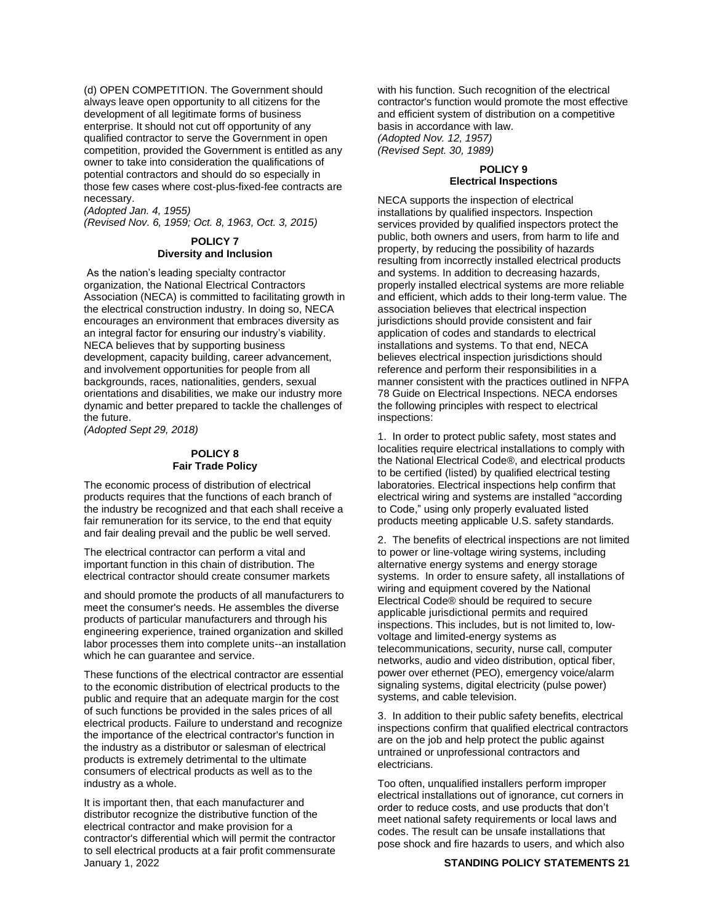(d) OPEN COMPETITION. The Government should always leave open opportunity to all citizens for the development of all legitimate forms of business enterprise. It should not cut off opportunity of any qualified contractor to serve the Government in open competition, provided the Government is entitled as any owner to take into consideration the qualifications of potential contractors and should do so especially in those few cases where cost-plus-fixed-fee contracts are necessary.

*(Adopted Jan. 4, 1955)*

*(Revised Nov. 6, 1959; Oct. 8, 1963, Oct. 3, 2015)*

# **POLICY 7 Diversity and Inclusion**

As the nation's leading specialty contractor organization, the National Electrical Contractors Association (NECA) is committed to facilitating growth in the electrical construction industry. In doing so, NECA encourages an environment that embraces diversity as an integral factor for ensuring our industry's viability. NECA believes that by supporting business development, capacity building, career advancement, and involvement opportunities for people from all backgrounds, races, nationalities, genders, sexual orientations and disabilities, we make our industry more dynamic and better prepared to tackle the challenges of the future.

*(Adopted Sept 29, 2018)*

#### **POLICY 8 Fair Trade Policy**

The economic process of distribution of electrical products requires that the functions of each branch of the industry be recognized and that each shall receive a fair remuneration for its service, to the end that equity and fair dealing prevail and the public be well served.

The electrical contractor can perform a vital and important function in this chain of distribution. The electrical contractor should create consumer markets

and should promote the products of all manufacturers to meet the consumer's needs. He assembles the diverse products of particular manufacturers and through his engineering experience, trained organization and skilled labor processes them into complete units--an installation which he can guarantee and service.

These functions of the electrical contractor are essential to the economic distribution of electrical products to the public and require that an adequate margin for the cost of such functions be provided in the sales prices of all electrical products. Failure to understand and recognize the importance of the electrical contractor's function in the industry as a distributor or salesman of electrical products is extremely detrimental to the ultimate consumers of electrical products as well as to the industry as a whole.

January 1, 2022 **STANDING POLICY STATEMENTS 21** It is important then, that each manufacturer and distributor recognize the distributive function of the electrical contractor and make provision for a contractor's differential which will permit the contractor to sell electrical products at a fair profit commensurate

with his function. Such recognition of the electrical contractor's function would promote the most effective and efficient system of distribution on a competitive basis in accordance with law. *(Adopted Nov. 12, 1957) (Revised Sept. 30, 1989)*

#### **POLICY 9 Electrical Inspections**

NECA supports the inspection of electrical installations by qualified inspectors. Inspection services provided by qualified inspectors protect the public, both owners and users, from harm to life and property, by reducing the possibility of hazards resulting from incorrectly installed electrical products and systems. In addition to decreasing hazards, properly installed electrical systems are more reliable and efficient, which adds to their long-term value. The association believes that electrical inspection jurisdictions should provide consistent and fair application of codes and standards to electrical installations and systems. To that end, NECA believes electrical inspection jurisdictions should reference and perform their responsibilities in a manner consistent with the practices outlined in NFPA 78 Guide on Electrical Inspections. NECA endorses the following principles with respect to electrical inspections:

1. In order to protect public safety, most states and localities require electrical installations to comply with the National Electrical Code®, and electrical products to be certified (listed) by qualified electrical testing laboratories. Electrical inspections help confirm that electrical wiring and systems are installed "according to Code," using only properly evaluated listed products meeting applicable U.S. safety standards.

2. The benefits of electrical inspections are not limited to power or line-voltage wiring systems, including alternative energy systems and energy storage systems. In order to ensure safety, all installations of wiring and equipment covered by the National Electrical Code® should be required to secure applicable jurisdictional permits and required inspections. This includes, but is not limited to, lowvoltage and limited-energy systems as telecommunications, security, nurse call, computer networks, audio and video distribution, optical fiber, power over ethernet (PEO), emergency voice/alarm signaling systems, digital electricity (pulse power) systems, and cable television.

3. In addition to their public safety benefits, electrical inspections confirm that qualified electrical contractors are on the job and help protect the public against untrained or unprofessional contractors and electricians.

Too often, unqualified installers perform improper electrical installations out of ignorance, cut corners in order to reduce costs, and use products that don't meet national safety requirements or local laws and codes. The result can be unsafe installations that pose shock and fire hazards to users, and which also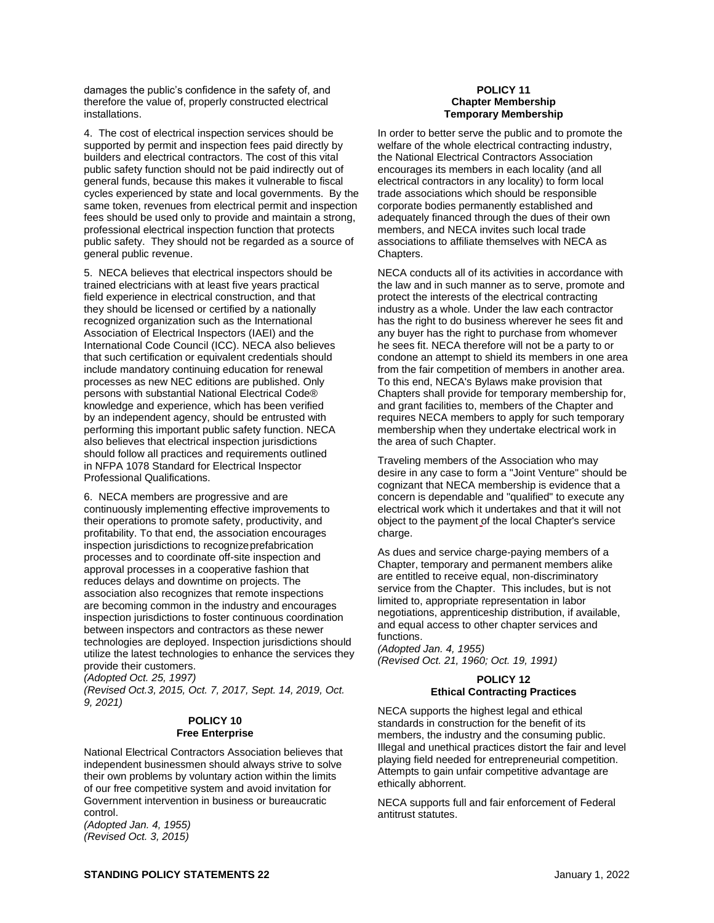damages the public's confidence in the safety of, and therefore the value of, properly constructed electrical installations.

4. The cost of electrical inspection services should be supported by permit and inspection fees paid directly by builders and electrical contractors. The cost of this vital public safety function should not be paid indirectly out of general funds, because this makes it vulnerable to fiscal cycles experienced by state and local governments. By the same token, revenues from electrical permit and inspection fees should be used only to provide and maintain a strong, professional electrical inspection function that protects public safety. They should not be regarded as a source of general public revenue.

5. NECA believes that electrical inspectors should be trained electricians with at least five years practical field experience in electrical construction, and that they should be licensed or certified by a nationally recognized organization such as the International Association of Electrical Inspectors (IAEI) and the International Code Council (ICC). NECA also believes that such certification or equivalent credentials should include mandatory continuing education for renewal processes as new NEC editions are published. Only persons with substantial National Electrical Code® knowledge and experience, which has been verified by an independent agency, should be entrusted with performing this important public safety function. NECA also believes that electrical inspection jurisdictions should follow all practices and requirements outlined in NFPA 1078 Standard for Electrical Inspector Professional Qualifications.

6. NECA members are progressive and are continuously implementing effective improvements to their operations to promote safety, productivity, and profitability. To that end, the association encourages inspection jurisdictions to recognizeprefabrication processes and to coordinate off-site inspection and approval processes in a cooperative fashion that reduces delays and downtime on projects. The association also recognizes that remote inspections are becoming common in the industry and encourages inspection jurisdictions to foster continuous coordination between inspectors and contractors as these newer technologies are deployed. Inspection jurisdictions should utilize the latest technologies to enhance the services they provide their customers.

*(Adopted Oct. 25, 1997)*

*(Revised Oct.3, 2015, Oct. 7, 2017, Sept. 14, 2019, Oct. 9, 2021)*

# **POLICY 10 Free Enterprise**

National Electrical Contractors Association believes that independent businessmen should always strive to solve their own problems by voluntary action within the limits of our free competitive system and avoid invitation for Government intervention in business or bureaucratic control.

*(Adopted Jan. 4, 1955) (Revised Oct. 3, 2015)*

# **POLICY 11 Chapter Membership Temporary Membership**

In order to better serve the public and to promote the welfare of the whole electrical contracting industry, the National Electrical Contractors Association encourages its members in each locality (and all electrical contractors in any locality) to form local trade associations which should be responsible corporate bodies permanently established and adequately financed through the dues of their own members, and NECA invites such local trade associations to affiliate themselves with NECA as Chapters.

NECA conducts all of its activities in accordance with the law and in such manner as to serve, promote and protect the interests of the electrical contracting industry as a whole. Under the law each contractor has the right to do business wherever he sees fit and any buyer has the right to purchase from whomever he sees fit. NECA therefore will not be a party to or condone an attempt to shield its members in one area from the fair competition of members in another area. To this end, NECA's Bylaws make provision that Chapters shall provide for temporary membership for, and grant facilities to, members of the Chapter and requires NECA members to apply for such temporary membership when they undertake electrical work in the area of such Chapter.

Traveling members of the Association who may desire in any case to form a "Joint Venture" should be cognizant that NECA membership is evidence that a concern is dependable and "qualified" to execute any electrical work which it undertakes and that it will not object to the payment of the local Chapter's service charge.

As dues and service charge-paying members of a Chapter, temporary and permanent members alike are entitled to receive equal, non-discriminatory service from the Chapter. This includes, but is not limited to, appropriate representation in labor negotiations, apprenticeship distribution, if available, and equal access to other chapter services and functions.

*(Adopted Jan. 4, 1955) (Revised Oct. 21, 1960; Oct. 19, 1991)*

# **POLICY 12 Ethical Contracting Practices**

NECA supports the highest legal and ethical standards in construction for the benefit of its members, the industry and the consuming public. Illegal and unethical practices distort the fair and level playing field needed for entrepreneurial competition. Attempts to gain unfair competitive advantage are ethically abhorrent.

NECA supports full and fair enforcement of Federal antitrust statutes.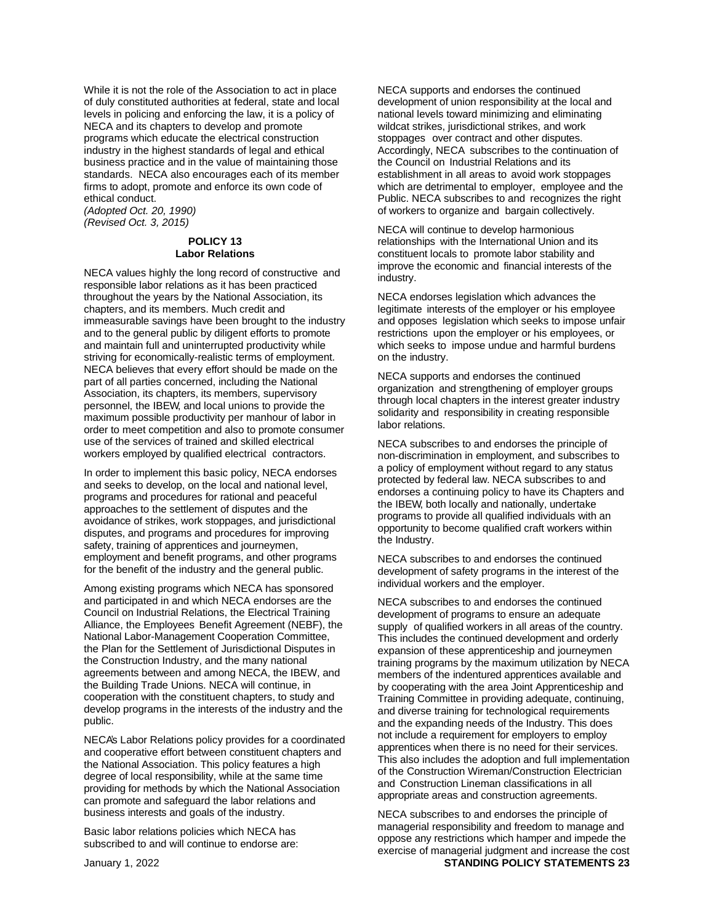While it is not the role of the Association to act in place of duly constituted authorities at federal, state and local levels in policing and enforcing the law, it is a policy of NECA and its chapters to develop and promote programs which educate the electrical construction industry in the highest standards of legal and ethical business practice and in the value of maintaining those standards. NECA also encourages each of its member firms to adopt, promote and enforce its own code of ethical conduct.

*(Adopted Oct. 20, 1990) (Revised Oct. 3, 2015)*

# **POLICY 13 Labor Relations**

NECA values highly the long record of constructive and responsible labor relations as it has been practiced throughout the years by the National Association, its chapters, and its members. Much credit and immeasurable savings have been brought to the industry and to the general public by diligent efforts to promote and maintain full and uninterrupted productivity while striving for economically-realistic terms of employment. NECA believes that every effort should be made on the part of all parties concerned, including the National Association, its chapters, its members, supervisory personnel, the IBEW, and local unions to provide the maximum possible productivity per manhour of labor in order to meet competition and also to promote consumer use of the services of trained and skilled electrical workers employed by qualified electrical contractors.

In order to implement this basic policy, NECA endorses and seeks to develop, on the local and national level, programs and procedures for rational and peaceful approaches to the settlement of disputes and the avoidance of strikes, work stoppages, and jurisdictional disputes, and programs and procedures for improving safety, training of apprentices and journeymen, employment and benefit programs, and other programs for the benefit of the industry and the general public.

Among existing programs which NECA has sponsored and participated in and which NECA endorses are the Council on Industrial Relations, the Electrical Training Alliance, the Employees Benefit Agreement (NEBF), the National Labor-Management Cooperation Committee, the Plan for the Settlement of Jurisdictional Disputes in the Construction Industry, and the many national agreements between and among NECA, the IBEW, and the Building Trade Unions. NECA will continue, in cooperation with the constituent chapters, to study and develop programs in the interests of the industry and the public.

NECA's Labor Relations policy provides for a coordinated and cooperative effort between constituent chapters and the National Association. This policy features a high degree of local responsibility, while at the same time providing for methods by which the National Association can promote and safeguard the labor relations and business interests and goals of the industry.

Basic labor relations policies which NECA has subscribed to and will continue to endorse are: NECA supports and endorses the continued development of union responsibility at the local and national levels toward minimizing and eliminating wildcat strikes, jurisdictional strikes, and work stoppages over contract and other disputes. Accordingly, NECA subscribes to the continuation of the Council on Industrial Relations and its establishment in all areas to avoid work stoppages which are detrimental to employer, employee and the Public. NECA subscribes to and recognizes the right of workers to organize and bargain collectively.

NECA will continue to develop harmonious relationships with the International Union and its constituent locals to promote labor stability and improve the economic and financial interests of the industry.

NECA endorses legislation which advances the legitimate interests of the employer or his employee and opposes legislation which seeks to impose unfair restrictions upon the employer or his employees, or which seeks to impose undue and harmful burdens on the industry.

NECA supports and endorses the continued organization and strengthening of employer groups through local chapters in the interest greater industry solidarity and responsibility in creating responsible labor relations.

NECA subscribes to and endorses the principle of non-discrimination in employment, and subscribes to a policy of employment without regard to any status protected by federal law. NECA subscribes to and endorses a continuing policy to have its Chapters and the IBEW, both locally and nationally, undertake programs to provide all qualified individuals with an opportunity to become qualified craft workers within the Industry.

NECA subscribes to and endorses the continued development of safety programs in the interest of the individual workers and the employer.

NECA subscribes to and endorses the continued development of programs to ensure an adequate supply of qualified workers in all areas of the country. This includes the continued development and orderly expansion of these apprenticeship and journeymen training programs by the maximum utilization by NECA members of the indentured apprentices available and by cooperating with the area Joint Apprenticeship and Training Committee in providing adequate, continuing, and diverse training for technological requirements and the expanding needs of the Industry. This does not include a requirement for employers to employ apprentices when there is no need for their services. This also includes the adoption and full implementation of the Construction Wireman/Construction Electrician and Construction Lineman classifications in all appropriate areas and construction agreements.

January 1, 2022 **STANDING POLICY STATEMENTS 23** NECA subscribes to and endorses the principle of managerial responsibility and freedom to manage and oppose any restrictions which hamper and impede the exercise of managerial judgment and increase the cost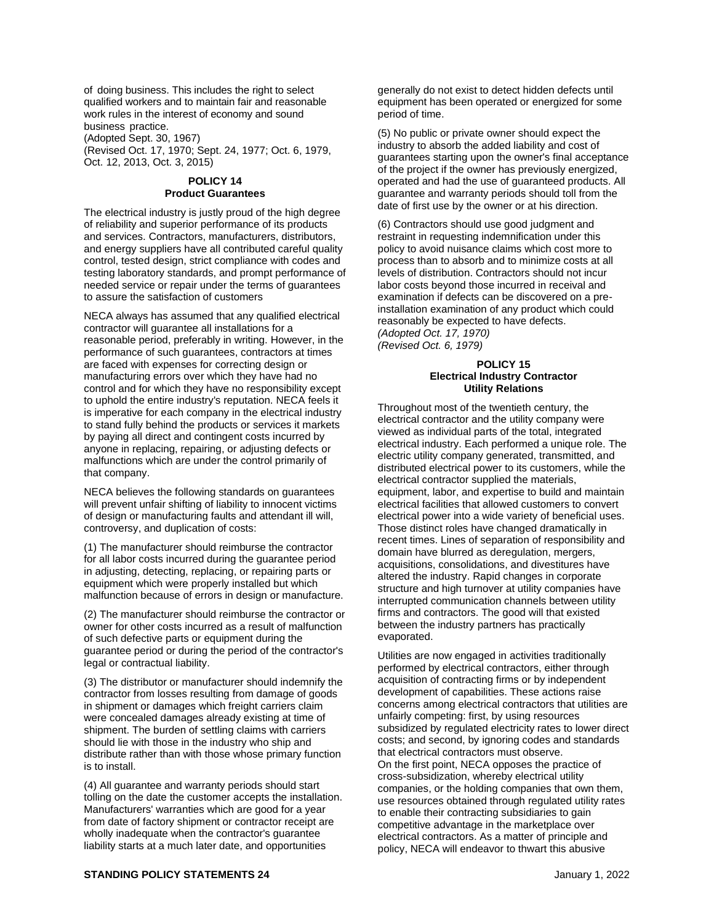of doing business. This includes the right to select qualified workers and to maintain fair and reasonable work rules in the interest of economy and sound business practice.

(Adopted Sept. 30, 1967)

(Revised Oct. 17, 1970; Sept. 24, 1977; Oct. 6, 1979, Oct. 12, 2013, Oct. 3, 2015)

# **POLICY 14 Product Guarantees**

The electrical industry is justly proud of the high degree of reliability and superior performance of its products and services. Contractors, manufacturers, distributors, and energy suppliers have all contributed careful quality control, tested design, strict compliance with codes and testing laboratory standards, and prompt performance of needed service or repair under the terms of guarantees to assure the satisfaction of customers

NECA always has assumed that any qualified electrical contractor will guarantee all installations for a reasonable period, preferably in writing. However, in the performance of such guarantees, contractors at times are faced with expenses for correcting design or manufacturing errors over which they have had no control and for which they have no responsibility except to uphold the entire industry's reputation. NECA feels it is imperative for each company in the electrical industry to stand fully behind the products or services it markets by paying all direct and contingent costs incurred by anyone in replacing, repairing, or adjusting defects or malfunctions which are under the control primarily of that company.

NECA believes the following standards on guarantees will prevent unfair shifting of liability to innocent victims of design or manufacturing faults and attendant ill will, controversy, and duplication of costs:

(1) The manufacturer should reimburse the contractor for all labor costs incurred during the guarantee period in adjusting, detecting, replacing, or repairing parts or equipment which were properly installed but which malfunction because of errors in design or manufacture.

(2) The manufacturer should reimburse the contractor or owner for other costs incurred as a result of malfunction of such defective parts or equipment during the guarantee period or during the period of the contractor's legal or contractual liability.

(3) The distributor or manufacturer should indemnify the contractor from losses resulting from damage of goods in shipment or damages which freight carriers claim were concealed damages already existing at time of shipment. The burden of settling claims with carriers should lie with those in the industry who ship and distribute rather than with those whose primary function is to install.

(4) All guarantee and warranty periods should start tolling on the date the customer accepts the installation. Manufacturers' warranties which are good for a year from date of factory shipment or contractor receipt are wholly inadequate when the contractor's guarantee liability starts at a much later date, and opportunities

generally do not exist to detect hidden defects until equipment has been operated or energized for some period of time.

(5) No public or private owner should expect the industry to absorb the added liability and cost of guarantees starting upon the owner's final acceptance of the project if the owner has previously energized, operated and had the use of guaranteed products. All guarantee and warranty periods should toll from the date of first use by the owner or at his direction.

(6) Contractors should use good judgment and restraint in requesting indemnification under this policy to avoid nuisance claims which cost more to process than to absorb and to minimize costs at all levels of distribution. Contractors should not incur labor costs beyond those incurred in receival and examination if defects can be discovered on a preinstallation examination of any product which could reasonably be expected to have defects. *(Adopted Oct. 17, 1970) (Revised Oct. 6, 1979)*

# **POLICY 15 Electrical Industry Contractor Utility Relations**

Throughout most of the twentieth century, the electrical contractor and the utility company were viewed as individual parts of the total, integrated electrical industry. Each performed a unique role. The electric utility company generated, transmitted, and distributed electrical power to its customers, while the electrical contractor supplied the materials, equipment, labor, and expertise to build and maintain electrical facilities that allowed customers to convert electrical power into a wide variety of beneficial uses. Those distinct roles have changed dramatically in recent times. Lines of separation of responsibility and domain have blurred as deregulation, mergers, acquisitions, consolidations, and divestitures have altered the industry. Rapid changes in corporate structure and high turnover at utility companies have interrupted communication channels between utility firms and contractors. The good will that existed between the industry partners has practically evaporated.

Utilities are now engaged in activities traditionally performed by electrical contractors, either through acquisition of contracting firms or by independent development of capabilities. These actions raise concerns among electrical contractors that utilities are unfairly competing: first, by using resources subsidized by regulated electricity rates to lower direct costs; and second, by ignoring codes and standards that electrical contractors must observe. On the first point, NECA opposes the practice of cross-subsidization, whereby electrical utility companies, or the holding companies that own them, use resources obtained through regulated utility rates to enable their contracting subsidiaries to gain competitive advantage in the marketplace over electrical contractors. As a matter of principle and policy, NECA will endeavor to thwart this abusive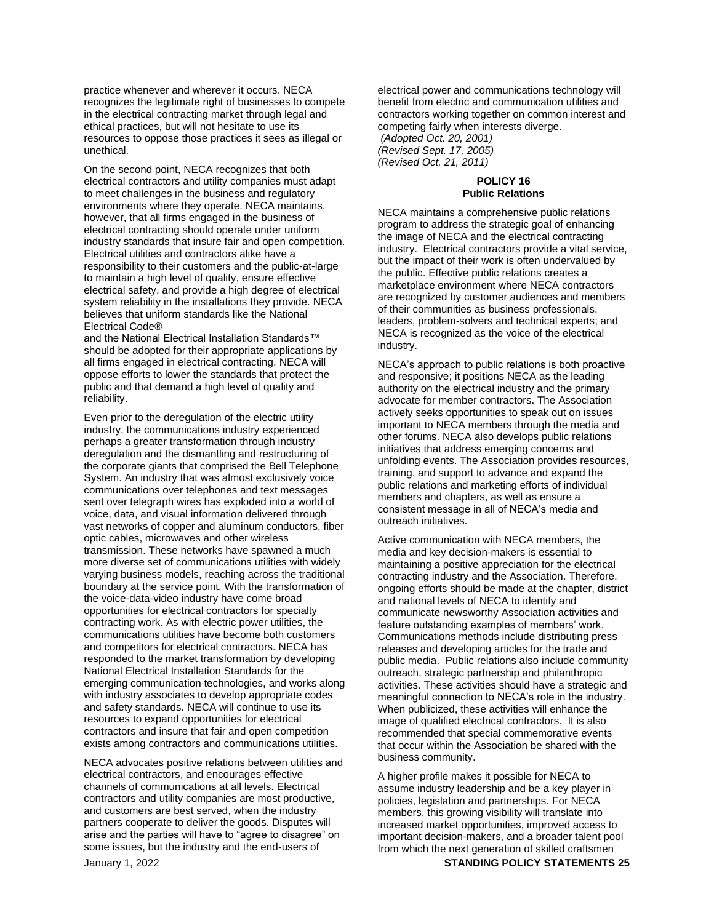practice whenever and wherever it occurs. NECA recognizes the legitimate right of businesses to compete in the electrical contracting market through legal and ethical practices, but will not hesitate to use its resources to oppose those practices it sees as illegal or unethical.

On the second point, NECA recognizes that both electrical contractors and utility companies must adapt to meet challenges in the business and regulatory environments where they operate. NECA maintains, however, that all firms engaged in the business of electrical contracting should operate under uniform industry standards that insure fair and open competition. Electrical utilities and contractors alike have a responsibility to their customers and the public-at-large to maintain a high level of quality, ensure effective electrical safety, and provide a high degree of electrical system reliability in the installations they provide. NECA believes that uniform standards like the National Electrical Code®

and the National Electrical Installation Standards™ should be adopted for their appropriate applications by all firms engaged in electrical contracting. NECA will oppose efforts to lower the standards that protect the public and that demand a high level of quality and reliability.

Even prior to the deregulation of the electric utility industry, the communications industry experienced perhaps a greater transformation through industry deregulation and the dismantling and restructuring of the corporate giants that comprised the Bell Telephone System. An industry that was almost exclusively voice communications over telephones and text messages sent over telegraph wires has exploded into a world of voice, data, and visual information delivered through vast networks of copper and aluminum conductors, fiber optic cables, microwaves and other wireless transmission. These networks have spawned a much more diverse set of communications utilities with widely varying business models, reaching across the traditional boundary at the service point. With the transformation of the voice-data-video industry have come broad opportunities for electrical contractors for specialty contracting work. As with electric power utilities, the communications utilities have become both customers and competitors for electrical contractors. NECA has responded to the market transformation by developing National Electrical Installation Standards for the emerging communication technologies, and works along with industry associates to develop appropriate codes and safety standards. NECA will continue to use its resources to expand opportunities for electrical contractors and insure that fair and open competition exists among contractors and communications utilities.

NECA advocates positive relations between utilities and electrical contractors, and encourages effective channels of communications at all levels. Electrical contractors and utility companies are most productive, and customers are best served, when the industry partners cooperate to deliver the goods. Disputes will arise and the parties will have to "agree to disagree" on some issues, but the industry and the end-users of

electrical power and communications technology will benefit from electric and communication utilities and contractors working together on common interest and competing fairly when interests diverge. *(Adopted Oct. 20, 2001) (Revised Sept. 17, 2005) (Revised Oct. 21, 2011)*

## **POLICY 16 Public Relations**

NECA maintains a comprehensive public relations program to address the strategic goal of enhancing the image of NECA and the electrical contracting industry. Electrical contractors provide a vital service, but the impact of their work is often undervalued by the public. Effective public relations creates a marketplace environment where NECA contractors are recognized by customer audiences and members of their communities as business professionals, leaders, problem-solvers and technical experts; and NECA is recognized as the voice of the electrical industry.

NECA's approach to public relations is both proactive and responsive; it positions NECA as the leading authority on the electrical industry and the primary advocate for member contractors. The Association actively seeks opportunities to speak out on issues important to NECA members through the media and other forums. NECA also develops public relations initiatives that address emerging concerns and unfolding events. The Association provides resources, training, and support to advance and expand the public relations and marketing efforts of individual members and chapters, as well as ensure a consistent message in all of NECA's media and outreach initiatives.

Active communication with NECA members, the media and key decision-makers is essential to maintaining a positive appreciation for the electrical contracting industry and the Association. Therefore, ongoing efforts should be made at the chapter, district and national levels of NECA to identify and communicate newsworthy Association activities and feature outstanding examples of members' work. Communications methods include distributing press releases and developing articles for the trade and public media. Public relations also include community outreach, strategic partnership and philanthropic activities. These activities should have a strategic and meaningful connection to NECA's role in the industry. When publicized, these activities will enhance the image of qualified electrical contractors. It is also recommended that special commemorative events that occur within the Association be shared with the business community.

A higher profile makes it possible for NECA to assume industry leadership and be a key player in policies, legislation and partnerships. For NECA members, this growing visibility will translate into increased market opportunities, improved access to important decision-makers, and a broader talent pool from which the next generation of skilled craftsmen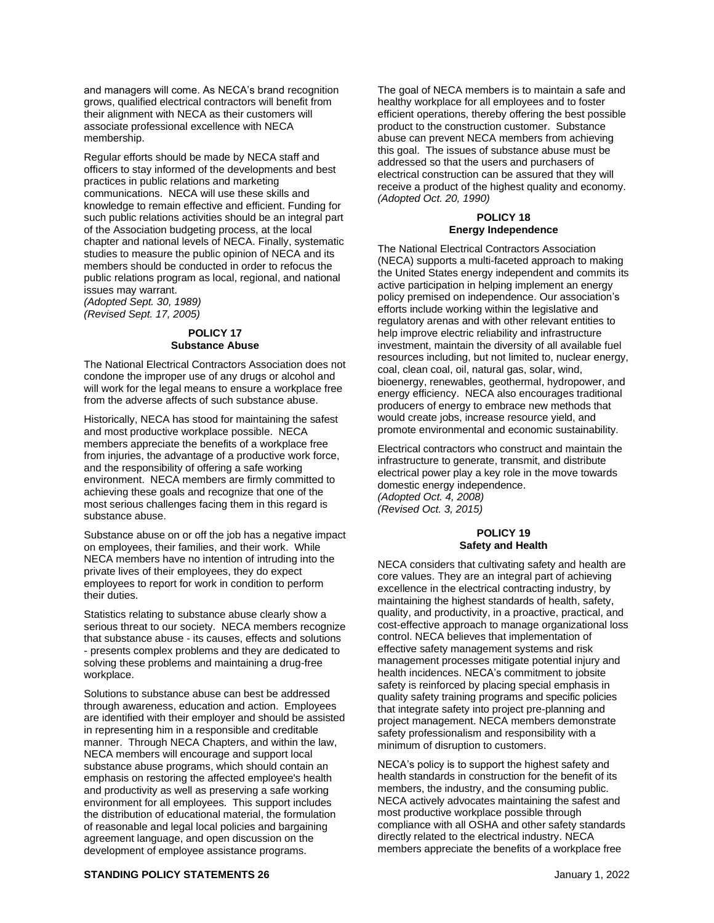and managers will come. As NECA's brand recognition grows, qualified electrical contractors will benefit from their alignment with NECA as their customers will associate professional excellence with NECA membership.

Regular efforts should be made by NECA staff and officers to stay informed of the developments and best practices in public relations and marketing communications. NECA will use these skills and knowledge to remain effective and efficient. Funding for such public relations activities should be an integral part of the Association budgeting process, at the local chapter and national levels of NECA. Finally, systematic studies to measure the public opinion of NECA and its members should be conducted in order to refocus the public relations program as local, regional, and national issues may warrant.

*(Adopted Sept. 30, 1989) (Revised Sept. 17, 2005)*

# **POLICY 17 Substance Abuse**

The National Electrical Contractors Association does not condone the improper use of any drugs or alcohol and will work for the legal means to ensure a workplace free from the adverse affects of such substance abuse.

Historically, NECA has stood for maintaining the safest and most productive workplace possible. NECA members appreciate the benefits of a workplace free from injuries, the advantage of a productive work force, and the responsibility of offering a safe working environment. NECA members are firmly committed to achieving these goals and recognize that one of the most serious challenges facing them in this regard is substance abuse.

Substance abuse on or off the job has a negative impact on employees, their families, and their work. While NECA members have no intention of intruding into the private lives of their employees, they do expect employees to report for work in condition to perform their duties.

Statistics relating to substance abuse clearly show a serious threat to our society. NECA members recognize that substance abuse - its causes, effects and solutions - presents complex problems and they are dedicated to solving these problems and maintaining a drug-free workplace.

Solutions to substance abuse can best be addressed through awareness, education and action. Employees are identified with their employer and should be assisted in representing him in a responsible and creditable manner. Through NECA Chapters, and within the law, NECA members will encourage and support local substance abuse programs, which should contain an emphasis on restoring the affected employee's health and productivity as well as preserving a safe working environment for all employees. This support includes the distribution of educational material, the formulation of reasonable and legal local policies and bargaining agreement language, and open discussion on the development of employee assistance programs.

The goal of NECA members is to maintain a safe and healthy workplace for all employees and to foster efficient operations, thereby offering the best possible product to the construction customer. Substance abuse can prevent NECA members from achieving this goal. The issues of substance abuse must be addressed so that the users and purchasers of electrical construction can be assured that they will receive a product of the highest quality and economy. *(Adopted Oct. 20, 1990)*

#### **POLICY 18 Energy Independence**

The National Electrical Contractors Association (NECA) supports a multi-faceted approach to making the United States energy independent and commits its active participation in helping implement an energy policy premised on independence. Our association's efforts include working within the legislative and regulatory arenas and with other relevant entities to help improve electric reliability and infrastructure investment, maintain the diversity of all available fuel resources including, but not limited to, nuclear energy, coal, clean coal, oil, natural gas, solar, wind, bioenergy, renewables, geothermal, hydropower, and energy efficiency. NECA also encourages traditional producers of energy to embrace new methods that would create jobs, increase resource yield, and promote environmental and economic sustainability.

Electrical contractors who construct and maintain the infrastructure to generate, transmit, and distribute electrical power play a key role in the move towards domestic energy independence. *(Adopted Oct. 4, 2008) (Revised Oct. 3, 2015)*

# **POLICY 19 Safety and Health**

NECA considers that cultivating safety and health are core values. They are an integral part of achieving excellence in the electrical contracting industry, by maintaining the highest standards of health, safety, quality, and productivity, in a proactive, practical, and cost-effective approach to manage organizational loss control. NECA believes that implementation of effective safety management systems and risk management processes mitigate potential injury and health incidences. NECA's commitment to jobsite safety is reinforced by placing special emphasis in quality safety training programs and specific policies that integrate safety into project pre-planning and project management. NECA members demonstrate safety professionalism and responsibility with a minimum of disruption to customers.

NECA's policy is to support the highest safety and health standards in construction for the benefit of its members, the industry, and the consuming public. NECA actively advocates maintaining the safest and most productive workplace possible through compliance with all OSHA and other safety standards directly related to the electrical industry. NECA members appreciate the benefits of a workplace free